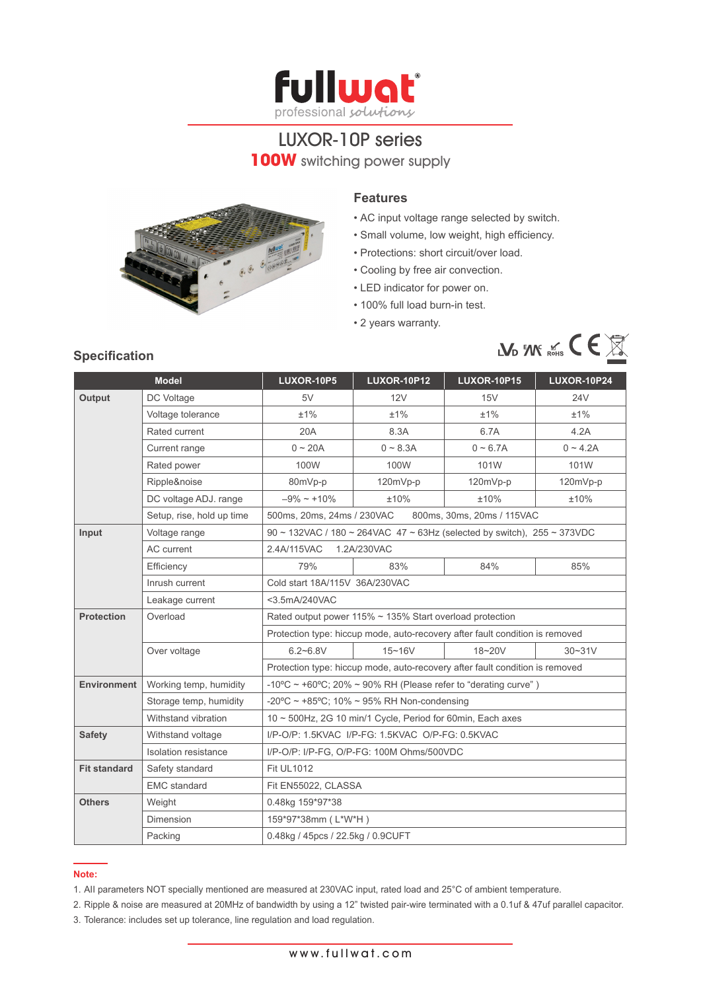

# LUXOR-10P series **100W** switching power supply



#### **Features**

- AC input voltage range selected by switch.
- • Small volume, low weight, high efficiency.
- Protections: short circuit/over load.
- Cooling by free air convection.
- LED indicator for power on.
- 100% full load burn-in test.
- 2 years warranty.



## **Model LUXOR-10P5 LUXOR-10P12 LUXOR-10P15 LUXOR-10P24 Output** DC Voltage | 5V | 12V | 15V | 24V Voltage tolerance  $\pm 1\%$   $\pm 1\%$   $\pm 1\%$   $\pm 1\%$   $\pm 1\%$ Rated current  $20A$  8.3A 6.7A 4.2A Current range  $0 \sim 20$ A  $0 \sim 8.3$ A  $0 \sim 6.7$ A  $0 \sim 4.2$ A Rated power **100W** 100W 101W 101W 101W Ripple&noise 80mVp-p 120mVp-p 120mVp-p 120mVp-p 120mVp-p DC voltage ADJ. range  $-9\% \sim +10\%$   $\pm 10\%$   $\pm 10\%$   $\pm 10\%$ Setup, rise, hold up time 500ms, 20ms, 24ms / 230VAC 800ms, 30ms, 20ms / 115VAC **Input** Voltage range 90 ~ 132VAC / 180 ~ 264VAC 47 ~ 63Hz (selected by switch), 255 ~ 373VDC AC current 2.4A/115VAC 1.2A/230VAC Efficiency 79% 83% 84% 85% Inrush current  $\vert$  Cold start 18A/115V 36A/230VAC Leakage current <3.5mA/240VAC **Protection** Overload Rated output power 115% ~ 135% Start overload protection Protection type: hiccup mode, auto-recovery after fault condition is removed Over voltage 6.2~6.8V 15~16V 18~20V 30~31V Protection type: hiccup mode, auto-recovery after fault condition is removed **Environment** Working temp, humidity  $-10^{\circ}C \sim +60^{\circ}C$ ; 20% ~ 90% RH (Please refer to "derating curve") Storage temp, humidity  $\Big|$  -20°C ~ +85°C; 10% ~ 95% RH Non-condensing Withstand vibration  $10 ~$   $\sim$  500Hz, 2G 10 min/1 Cycle, Period for 60min, Each axes **Safety** Withstand voltage | I/P-O/P: 1.5KVAC I/P-FG: 1.5KVAC O/P-FG: 0.5KVAC Isolation resistance | I/P-O/P: I/P-FG, O/P-FG: 100M Ohms/500VDC **Fit standard** Safety standard Fit UL1012 EMC standard Fit EN55022, CLASSA **Others** Weight 0.48kg 159\*97\*38 Dimension 159\*97\*38mm ( L\*W\*H ) Packing 0.48kg / 45pcs / 22.5kg / 0.9CUFT

#### **Note:**

- 1. AII parameters NOT specially mentioned are measured at 230VAC input, rated load and 25°C of ambient temperature.
- 2. Ripple & noise are measured at 20MHz of bandwidth by using a 12" twisted pair-wire terminated with a 0.1uf & 47uf parallel capacitor.
- 3. Tolerance: includes set up tolerance, line regulation and load regulation.

## **Specification**